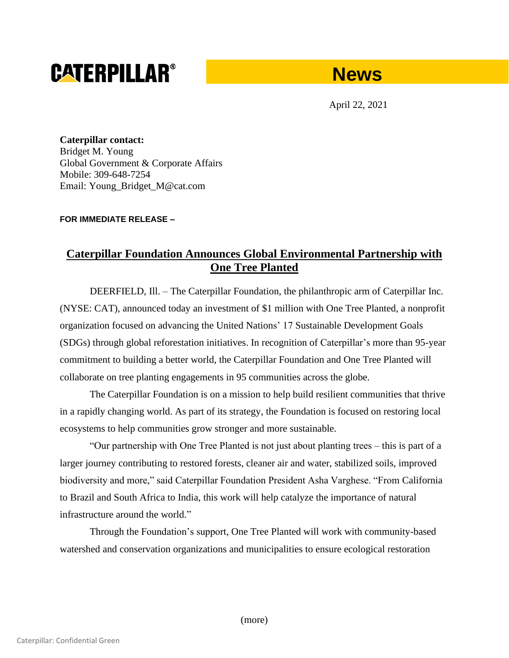# **CATERPILLAR®**

# **News**

April 22, 2021

**Caterpillar contact:** Bridget M. Young Global Government & Corporate Affairs Mobile: 309-648-7254 Email: Young\_Bridget\_M@cat.com

# **FOR IMMEDIATE RELEASE –**

# **Caterpillar Foundation Announces Global Environmental Partnership with One Tree Planted**

DEERFIELD, Ill. – The Caterpillar Foundation, the philanthropic arm of Caterpillar Inc. (NYSE: CAT), announced today an investment of \$1 million with One Tree Planted, a nonprofit organization focused on advancing the United Nations' 17 Sustainable Development Goals (SDGs) through global reforestation initiatives. In recognition of Caterpillar's more than 95-year commitment to building a better world, the Caterpillar Foundation and One Tree Planted will collaborate on tree planting engagements in 95 communities across the globe.

The Caterpillar Foundation is on a mission to help build resilient communities that thrive in a rapidly changing world. As part of its strategy, the Foundation is focused on restoring local ecosystems to help communities grow stronger and more sustainable.

"Our partnership with One Tree Planted is not just about planting trees – this is part of a larger journey contributing to restored forests, cleaner air and water, stabilized soils, improved biodiversity and more," said Caterpillar Foundation President Asha Varghese. "From California to Brazil and South Africa to India, this work will help catalyze the importance of natural infrastructure around the world."

Through the Foundation's support, One Tree Planted will work with community-based watershed and conservation organizations and municipalities to ensure ecological restoration